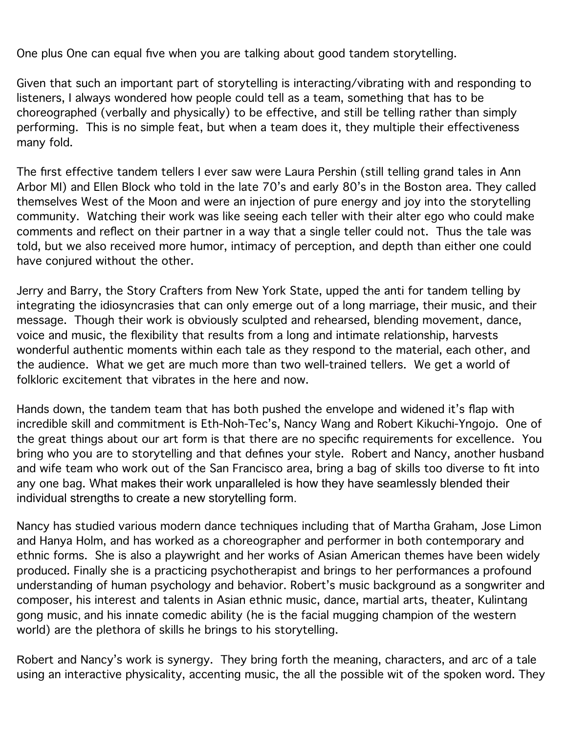One plus One can equal five when you are talking about good tandem storytelling.

Given that such an important part of storytelling is interacting/vibrating with and responding to listeners, I always wondered how people could tell as a team, something that has to be choreographed (verbally and physically) to be effective, and still be telling rather than simply performing. This is no simple feat, but when a team does it, they multiple their effectiveness many fold.

The first effective tandem tellers I ever saw were Laura Pershin (still telling grand tales in Ann Arbor MI) and Ellen Block who told in the late 70's and early 80's in the Boston area. They called themselves West of the Moon and were an injection of pure energy and joy into the storytelling community. Watching their work was like seeing each teller with their alter ego who could make comments and reflect on their partner in a way that a single teller could not. Thus the tale was told, but we also received more humor, intimacy of perception, and depth than either one could have conjured without the other.

Jerry and Barry, the Story Crafters from New York State, upped the anti for tandem telling by integrating the idiosyncrasies that can only emerge out of a long marriage, their music, and their message. Though their work is obviously sculpted and rehearsed, blending movement, dance, voice and music, the flexibility that results from a long and intimate relationship, harvests wonderful authentic moments within each tale as they respond to the material, each other, and the audience. What we get are much more than two well-trained tellers. We get a world of folkloric excitement that vibrates in the here and now.

Hands down, the tandem team that has both pushed the envelope and widened it's flap with incredible skill and commitment is Eth-Noh-Tec's, Nancy Wang and Robert Kikuchi-Yngojo. One of the great things about our art form is that there are no specific requirements for excellence. You bring who you are to storytelling and that defines your style. Robert and Nancy, another husband and wife team who work out of the San Francisco area, bring a bag of skills too diverse to fit into any one bag. What makes their work unparalleled is how they have seamlessly blended their individual strengths to create a new storytelling form.

Nancy has studied various modern dance techniques including that of Martha Graham, Jose Limon and Hanya Holm, and has worked as a choreographer and performer in both contemporary and ethnic forms. She is also a playwright and her works of Asian American themes have been widely produced. Finally she is a practicing psychotherapist and brings to her performances a profound understanding of human psychology and behavior. Robert's music background as a songwriter and composer, his interest and talents in Asian ethnic music, dance, martial arts, theater, Kulintang gong music, and his innate comedic ability (he is the facial mugging champion of the western world) are the plethora of skills he brings to his storytelling.

Robert and Nancy's work is synergy. They bring forth the meaning, characters, and arc of a tale using an interactive physicality, accenting music, the all the possible wit of the spoken word. They